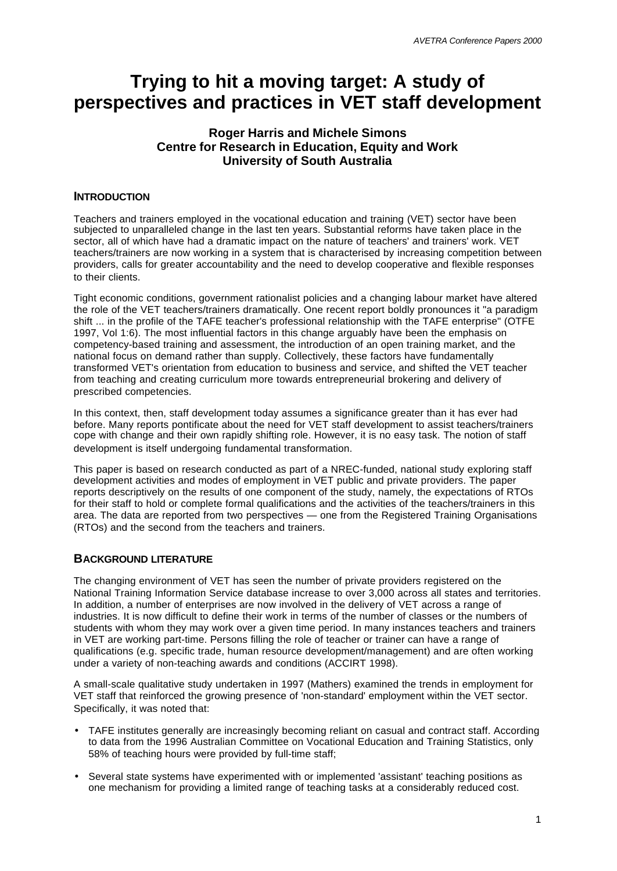# **Trying to hit a moving target: A study of perspectives and practices in VET staff development**

# **Roger Harris and Michele Simons Centre for Research in Education, Equity and Work University of South Australia**

### **INTRODUCTION**

Teachers and trainers employed in the vocational education and training (VET) sector have been subjected to unparalleled change in the last ten years. Substantial reforms have taken place in the sector, all of which have had a dramatic impact on the nature of teachers' and trainers' work. VET teachers/trainers are now working in a system that is characterised by increasing competition between providers, calls for greater accountability and the need to develop cooperative and flexible responses to their clients.

Tight economic conditions, government rationalist policies and a changing labour market have altered the role of the VET teachers/trainers dramatically. One recent report boldly pronounces it "a paradigm shift ... in the profile of the TAFE teacher's professional relationship with the TAFE enterprise" (OTFE 1997, Vol 1:6). The most influential factors in this change arguably have been the emphasis on competency-based training and assessment, the introduction of an open training market, and the national focus on demand rather than supply. Collectively, these factors have fundamentally transformed VET's orientation from education to business and service, and shifted the VET teacher from teaching and creating curriculum more towards entrepreneurial brokering and delivery of prescribed competencies.

In this context, then, staff development today assumes a significance greater than it has ever had before. Many reports pontificate about the need for VET staff development to assist teachers/trainers cope with change and their own rapidly shifting role. However, it is no easy task. The notion of staff development is itself undergoing fundamental transformation.

This paper is based on research conducted as part of a NREC-funded, national study exploring staff development activities and modes of employment in VET public and private providers. The paper reports descriptively on the results of one component of the study, namely, the expectations of RTOs for their staff to hold or complete formal qualifications and the activities of the teachers/trainers in this area. The data are reported from two perspectives — one from the Registered Training Organisations (RTOs) and the second from the teachers and trainers.

### **BACKGROUND LITERATURE**

The changing environment of VET has seen the number of private providers registered on the National Training Information Service database increase to over 3,000 across all states and territories. In addition, a number of enterprises are now involved in the delivery of VET across a range of industries. It is now difficult to define their work in terms of the number of classes or the numbers of students with whom they may work over a given time period. In many instances teachers and trainers in VET are working part-time. Persons filling the role of teacher or trainer can have a range of qualifications (e.g. specific trade, human resource development/management) and are often working under a variety of non-teaching awards and conditions (ACCIRT 1998).

A small-scale qualitative study undertaken in 1997 (Mathers) examined the trends in employment for VET staff that reinforced the growing presence of 'non-standard' employment within the VET sector. Specifically, it was noted that:

- TAFE institutes generally are increasingly becoming reliant on casual and contract staff. According to data from the 1996 Australian Committee on Vocational Education and Training Statistics, only 58% of teaching hours were provided by full-time staff;
- Several state systems have experimented with or implemented 'assistant' teaching positions as one mechanism for providing a limited range of teaching tasks at a considerably reduced cost.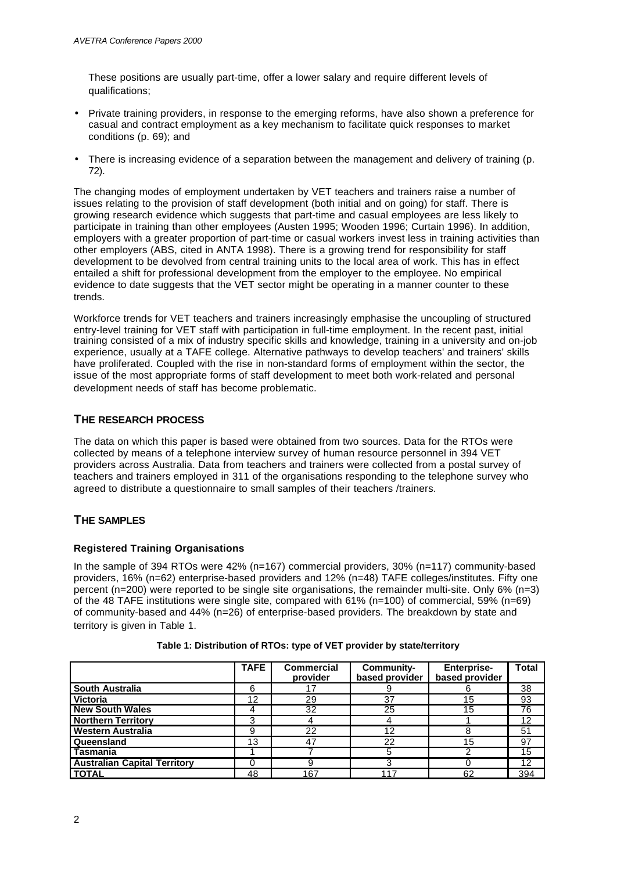These positions are usually part-time, offer a lower salary and require different levels of qualifications;

- Private training providers, in response to the emerging reforms, have also shown a preference for casual and contract employment as a key mechanism to facilitate quick responses to market conditions (p. 69); and
- There is increasing evidence of a separation between the management and delivery of training (p. 72).

The changing modes of employment undertaken by VET teachers and trainers raise a number of issues relating to the provision of staff development (both initial and on going) for staff. There is growing research evidence which suggests that part-time and casual employees are less likely to participate in training than other employees (Austen 1995; Wooden 1996; Curtain 1996). In addition, employers with a greater proportion of part-time or casual workers invest less in training activities than other employers (ABS, cited in ANTA 1998). There is a growing trend for responsibility for staff development to be devolved from central training units to the local area of work. This has in effect entailed a shift for professional development from the employer to the employee. No empirical evidence to date suggests that the VET sector might be operating in a manner counter to these trends.

Workforce trends for VET teachers and trainers increasingly emphasise the uncoupling of structured entry-level training for VET staff with participation in full-time employment. In the recent past, initial training consisted of a mix of industry specific skills and knowledge, training in a university and on-job experience, usually at a TAFE college. Alternative pathways to develop teachers' and trainers' skills have proliferated. Coupled with the rise in non-standard forms of employment within the sector, the issue of the most appropriate forms of staff development to meet both work-related and personal development needs of staff has become problematic.

# **THE RESEARCH PROCESS**

The data on which this paper is based were obtained from two sources. Data for the RTOs were collected by means of a telephone interview survey of human resource personnel in 394 VET providers across Australia. Data from teachers and trainers were collected from a postal survey of teachers and trainers employed in 311 of the organisations responding to the telephone survey who agreed to distribute a questionnaire to small samples of their teachers /trainers.

# **THE SAMPLES**

### **Registered Training Organisations**

In the sample of 394 RTOs were 42% (n=167) commercial providers, 30% (n=117) community-based providers, 16% (n=62) enterprise-based providers and 12% (n=48) TAFE colleges/institutes. Fifty one percent (n=200) were reported to be single site organisations, the remainder multi-site. Only 6% (n=3) of the 48 TAFE institutions were single site, compared with 61% (n=100) of commercial, 59% (n=69) of community-based and 44% (n=26) of enterprise-based providers. The breakdown by state and territory is given in Table 1.

|                                     | <b>TAFE</b> | <b>Commercial</b><br>provider | Community-<br>based provider | <b>Enterprise-</b><br>based provider | Total |
|-------------------------------------|-------------|-------------------------------|------------------------------|--------------------------------------|-------|
| <b>South Australia</b>              | 6           |                               |                              |                                      | 38    |
| <b>Victoria</b>                     | 12          | 29                            | 37                           | 15                                   | 93    |
| <b>New South Wales</b>              |             | 32                            | 25                           | 15                                   | 76    |
| <b>Northern Territory</b>           | 3           |                               |                              |                                      | 12    |
| <b>Western Australia</b>            | 9           | 22                            | 12                           |                                      | 51    |
| Queensland                          | 13          | 47                            | 22                           | 15                                   | 97    |
| Tasmania                            |             |                               | 5                            |                                      | 15    |
| <b>Australian Capital Territory</b> | $\Omega$    |                               |                              |                                      | 12    |
| <b>TOTAL</b>                        | 48          | 167                           | -17                          | 62                                   | 394   |

**Table 1: Distribution of RTOs: type of VET provider by state/territory**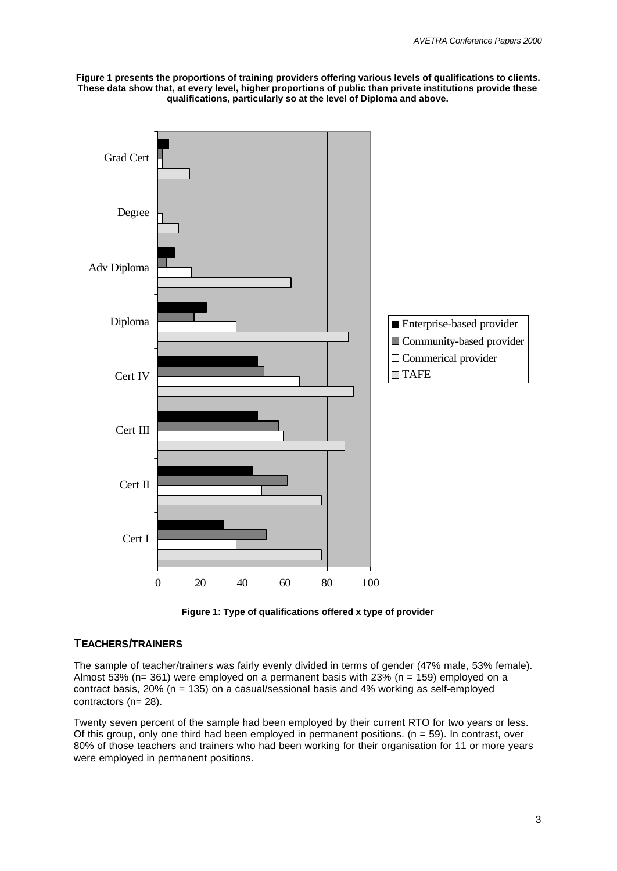**Figure 1 presents the proportions of training providers offering various levels of qualifications to clients. These data show that, at every level, higher proportions of public than private institutions provide these qualifications, particularly so at the level of Diploma and above.**





## **TEACHERS/TRAINERS**

The sample of teacher/trainers was fairly evenly divided in terms of gender (47% male, 53% female). Almost 53% (n= 361) were employed on a permanent basis with 23% (n = 159) employed on a contract basis, 20% (n = 135) on a casual/sessional basis and 4% working as self-employed contractors (n= 28).

Twenty seven percent of the sample had been employed by their current RTO for two years or less. Of this group, only one third had been employed in permanent positions. ( $n = 59$ ). In contrast, over 80% of those teachers and trainers who had been working for their organisation for 11 or more years were employed in permanent positions.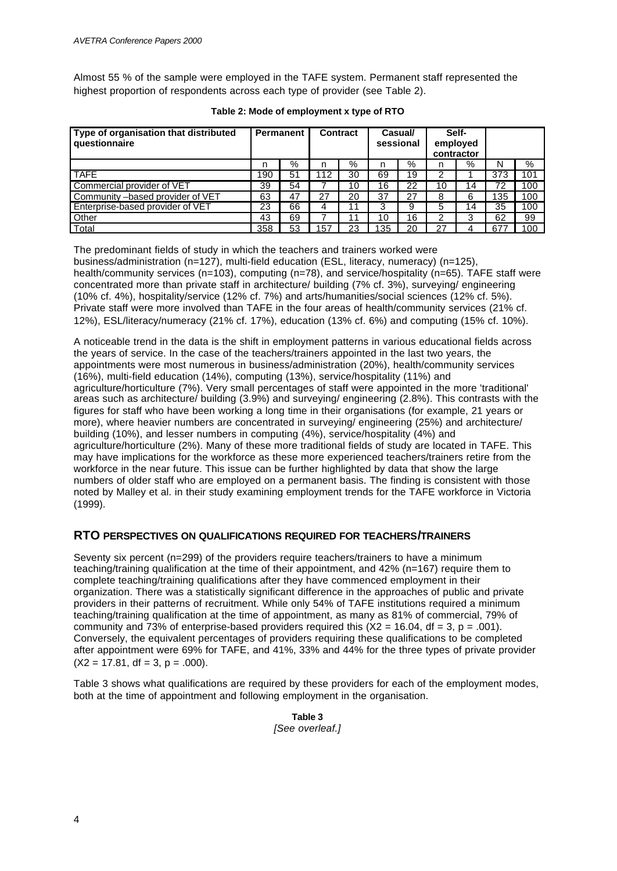Almost 55 % of the sample were employed in the TAFE system. Permanent staff represented the highest proportion of respondents across each type of provider (see Table 2).

| Type of organisation that distributed<br>questionnaire | Permanent |    | Contract |    | Casual/<br>sessional |    |    | Self-<br>employed<br>contractor |     |     |
|--------------------------------------------------------|-----------|----|----------|----|----------------------|----|----|---------------------------------|-----|-----|
|                                                        | n         | %  | n        | %  | n                    | %  | n  | %                               | N   | %   |
| <b>TAFE</b>                                            | 190       | 51 | 112      | 30 | 69                   | 19 | 2  |                                 | 373 | 101 |
| Commercial provider of VET                             | 39        | 54 |          | 10 | 16                   | 22 | 10 | 14                              | 72  | 100 |
| Community -based provider of VET                       | 63        | 47 | 27       | 20 | 37                   | 27 | 8  | 6                               | 135 | 100 |
| Enterprise-based provider of VET                       | 23        | 66 | 4        |    | 3                    | 9  | 5  | 14                              | 35  | 100 |
| Other                                                  | 43        | 69 |          |    | 10                   | 16 | 2  |                                 | 62  | 99  |
| Total                                                  | 358       | 53 | 157      | 23 | 35                   | 20 | 27 |                                 | 677 | 100 |

**Table 2: Mode of employment x type of RTO**

The predominant fields of study in which the teachers and trainers worked were business/administration (n=127), multi-field education (ESL, literacy, numeracy) (n=125), health/community services (n=103), computing (n=78), and service/hospitality (n=65). TAFE staff were concentrated more than private staff in architecture/ building (7% cf. 3%), surveying/ engineering (10% cf. 4%), hospitality/service (12% cf. 7%) and arts/humanities/social sciences (12% cf. 5%). Private staff were more involved than TAFE in the four areas of health/community services (21% cf. 12%), ESL/literacy/numeracy (21% cf. 17%), education (13% cf. 6%) and computing (15% cf. 10%).

A noticeable trend in the data is the shift in employment patterns in various educational fields across the years of service. In the case of the teachers/trainers appointed in the last two years, the appointments were most numerous in business/administration (20%), health/community services (16%), multi-field education (14%), computing (13%), service/hospitality (11%) and agriculture/horticulture (7%). Very small percentages of staff were appointed in the more 'traditional' areas such as architecture/ building (3.9%) and surveying/ engineering (2.8%). This contrasts with the figures for staff who have been working a long time in their organisations (for example, 21 years or more), where heavier numbers are concentrated in surveying/ engineering (25%) and architecture/ building (10%), and lesser numbers in computing (4%), service/hospitality (4%) and agriculture/horticulture (2%). Many of these more traditional fields of study are located in TAFE. This may have implications for the workforce as these more experienced teachers/trainers retire from the workforce in the near future. This issue can be further highlighted by data that show the large numbers of older staff who are employed on a permanent basis. The finding is consistent with those noted by Malley et al. in their study examining employment trends for the TAFE workforce in Victoria (1999).

### **RTO PERSPECTIVES ON QUALIFICATIONS REQUIRED FOR TEACHERS/TRAINERS**

Seventy six percent (n=299) of the providers require teachers/trainers to have a minimum teaching/training qualification at the time of their appointment, and 42% (n=167) require them to complete teaching/training qualifications after they have commenced employment in their organization. There was a statistically significant difference in the approaches of public and private providers in their patterns of recruitment. While only 54% of TAFE institutions required a minimum teaching/training qualification at the time of appointment, as many as 81% of commercial, 79% of community and 73% of enterprise-based providers required this  $(X2 = 16.04$ , df = 3, p = .001). Conversely, the equivalent percentages of providers requiring these qualifications to be completed after appointment were 69% for TAFE, and 41%, 33% and 44% for the three types of private provider  $(X2 = 17.81, df = 3, p = .000)$ .

Table 3 shows what qualifications are required by these providers for each of the employment modes, both at the time of appointment and following employment in the organisation.

> **Table 3** *[See overleaf.]*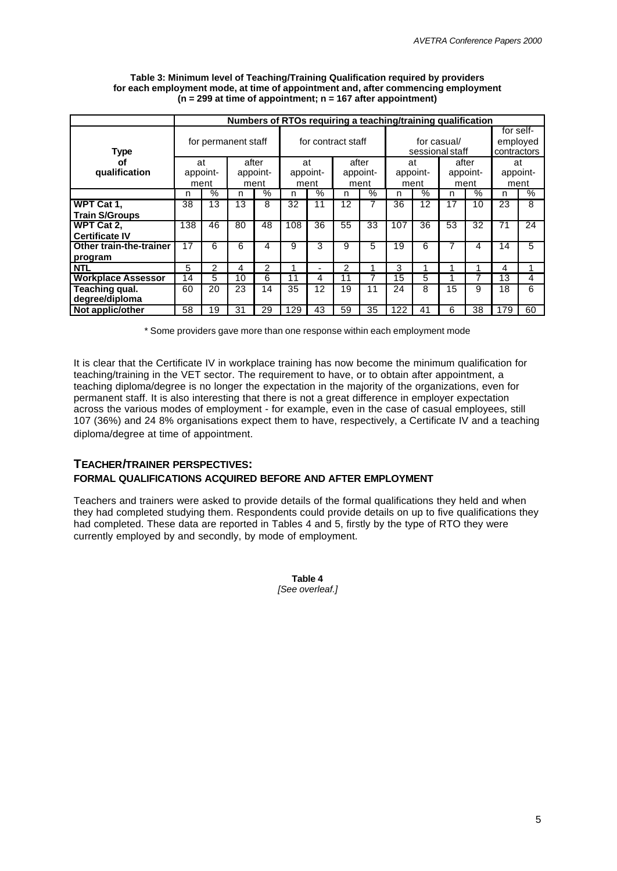|                           |          | Numbers of RTOs requiring a teaching/training qualification |       |                |     |                    |       |          |          |      |                 |               |             |      |
|---------------------------|----------|-------------------------------------------------------------|-------|----------------|-----|--------------------|-------|----------|----------|------|-----------------|---------------|-------------|------|
|                           |          |                                                             |       |                |     |                    |       |          |          |      |                 | for self-     |             |      |
|                           |          | for permanent staff                                         |       |                |     | for contract staff |       |          |          |      | for casual/     |               | employed    |      |
| <b>Type</b>               |          |                                                             |       |                |     |                    |       |          |          |      | sessional staff |               | contractors |      |
| оf                        | at       |                                                             | after |                |     | at                 | after |          | at       |      | after           |               | at          |      |
| qualification             | appoint- |                                                             |       | appoint-       |     | appoint-           |       | appoint- | appoint- |      |                 | appoint-      | appoint-    |      |
|                           | ment     |                                                             |       | ment           |     | ment               |       | ment     |          | ment |                 | ment          | ment        |      |
|                           | n        | $\frac{9}{6}$                                               | n     | $\sqrt{2}$     | n   | $\sqrt{2}$         | n     | $\%$     | n        | $\%$ | n               | $\frac{9}{6}$ | n           | $\%$ |
| WPT Cat 1,                | 38       | 13                                                          | 13    | 8              | 32  | 11                 | 12    |          | 36       | 12   | 17              | 10            | 23          | 8    |
| <b>Train S/Groups</b>     |          |                                                             |       |                |     |                    |       |          |          |      |                 |               |             |      |
| WPT Cat 2.                | 138      | 46                                                          | 80    | 48             | 108 | 36                 | 55    | 33       | 107      | 36   | 53              | 32            | 71          | 24   |
| <b>Certificate IV</b>     |          |                                                             |       |                |     |                    |       |          |          |      |                 |               |             |      |
| Other train-the-trainer   | 17       | 6                                                           | 6     | 4              | 9   | 3                  | 9     | 5        | 19       | 6    | 7               | 4             | 14          | 5    |
| program                   |          |                                                             |       |                |     |                    |       |          |          |      |                 |               |             |      |
| <b>NTL</b>                | 5        | 2                                                           | 4     | $\mathfrak{p}$ |     |                    | 2     |          | 3        |      |                 |               | 4           |      |
| <b>Workplace Assessor</b> | 14       | 5                                                           | 10    | 6              | 11  | 4                  | 11    |          | 15       | 5    |                 | 7             | 13          | 4    |
| Teaching qual.            | 60       | 20                                                          | 23    | 14             | 35  | 12                 | 19    | 11       | 24       | 8    | 15              | 9             | 18          | 6    |
| degree/diploma            |          |                                                             |       |                |     |                    |       |          |          |      |                 |               |             |      |
| Not applic/other          | 58       | 19                                                          | 31    | 29             | 129 | 43                 | 59    | 35       | 122      | 41   | 6               | 38            | 179         | 60   |

#### **Table 3: Minimum level of Teaching/Training Qualification required by providers for each employment mode, at time of appointment and, after commencing employment (n = 299 at time of appointment; n = 167 after appointment)**

\* Some providers gave more than one response within each employment mode

It is clear that the Certificate IV in workplace training has now become the minimum qualification for teaching/training in the VET sector. The requirement to have, or to obtain after appointment, a teaching diploma/degree is no longer the expectation in the majority of the organizations, even for permanent staff. It is also interesting that there is not a great difference in employer expectation across the various modes of employment - for example, even in the case of casual employees, still 107 (36%) and 24 8% organisations expect them to have, respectively, a Certificate IV and a teaching diploma/degree at time of appointment.

### **TEACHER/TRAINER PERSPECTIVES:**

### **FORMAL QUALIFICATIONS ACQUIRED BEFORE AND AFTER EMPLOYMENT**

Teachers and trainers were asked to provide details of the formal qualifications they held and when they had completed studying them. Respondents could provide details on up to five qualifications they had completed. These data are reported in Tables 4 and 5, firstly by the type of RTO they were currently employed by and secondly, by mode of employment.

> **Table 4** *[See overleaf.]*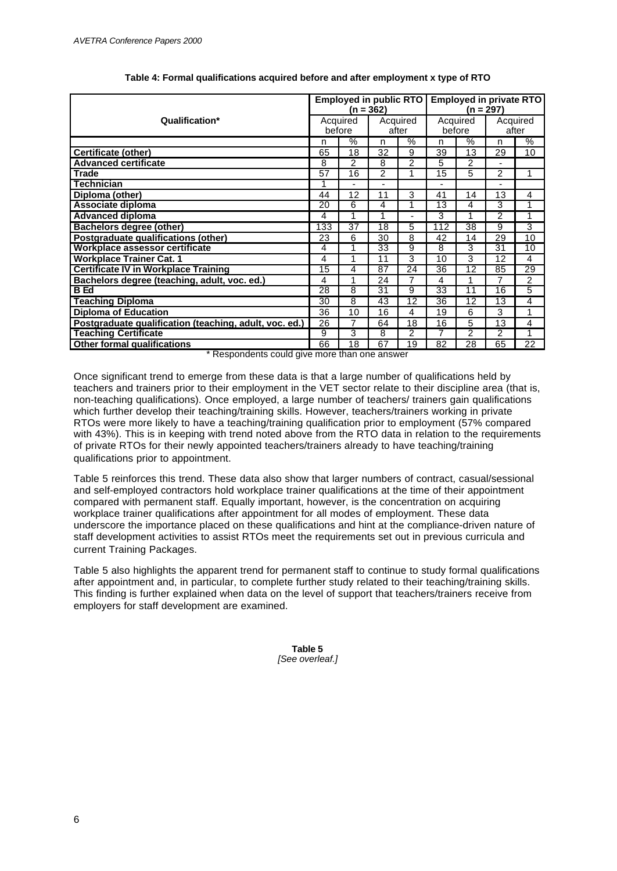|                                                        |                 | <b>Employed in public RTO</b> | $(n = 362)$ |                | Employed in private RTO<br>(n = 297) |                |                |       |
|--------------------------------------------------------|-----------------|-------------------------------|-------------|----------------|--------------------------------------|----------------|----------------|-------|
| Qualification*                                         |                 | Acquired                      |             | Acquired       |                                      | Acquired       | Acquired       |       |
|                                                        |                 | before                        |             | after          |                                      | before         |                | after |
|                                                        | n               | $\%$                          | n           | $\%$           | n                                    | $\%$           | n              | $\%$  |
| <b>Certificate (other)</b>                             | 65              | 18                            | 32          | 9              | 39                                   | 13             | 29             | 10    |
| <b>Advanced certificate</b>                            | 8               | $\overline{2}$                | 8           | $\overline{2}$ | 5                                    | $\overline{c}$ |                |       |
| <b>Trade</b>                                           | $\overline{57}$ | $\overline{16}$               | 2           | 1              | $\overline{15}$                      | 5              | $\overline{2}$ | 1     |
| <b>Technician</b>                                      | 1               |                               |             |                |                                      |                |                |       |
| Diploma (other)                                        | 44              | 12                            | 11          | 3              | 41                                   | 14             | 13             | 4     |
| Associate diploma                                      | $\overline{20}$ | 6                             | 4           | 1              | $\overline{13}$                      | 4              | 3              | 1     |
| <b>Advanced diploma</b>                                | 4               | 1                             | 1           | ٠              | 3                                    | 4              | $\overline{2}$ | 1     |
| Bachelors degree (other)                               | 133             | 37                            | 18          | 5              | 112                                  | 38             | 9              | 3     |
| Postgraduate qualifications (other)                    | 23              | 6                             | 30          | 8              | 42                                   | 14             | 29             | 10    |
| Workplace assessor certificate                         | 4               |                               | 33          | 9              | 8                                    | 3              | 31             | 10    |
| <b>Workplace Trainer Cat. 1</b>                        | 4               |                               | 11          | 3              | 10                                   | 3              | 12             | 4     |
| <b>Certificate IV in Workplace Training</b>            | 15              | 4                             | 87          | 24             | 36                                   | 12             | 85             | 29    |
| Bachelors degree (teaching, adult, voc. ed.)           | 4               | 4                             | 24          | 7              | 4                                    |                | 7              | 2     |
| <b>B</b> Ed                                            | 28              | 8                             | 31          | 9              | 33                                   | 11             | 16             | 5     |
| <b>Teaching Diploma</b>                                | 30              | 8                             | 43          | 12             | 36                                   | 12             | 13             | 4     |
| <b>Diploma of Education</b>                            | 36              | 10                            | 16          | 4              | 19                                   | 6              | 3              | 1     |
| Postgraduate qualification (teaching, adult, voc. ed.) | 26              | 7                             | 64          | 18             | 16                                   | 5              | 13             | 4     |
| <b>Teaching Certificate</b>                            | 9               | 3                             | 8           | $\overline{2}$ | 7                                    | $\overline{2}$ | $\overline{c}$ | 1     |
| <b>Other formal qualifications</b>                     | 66              | 18                            | 67          | 19             | 82                                   | 28             | 65             | 22    |

#### **Table 4: Formal qualifications acquired before and after employment x type of RTO**

\* Respondents could give more than one answer

Once significant trend to emerge from these data is that a large number of qualifications held by teachers and trainers prior to their employment in the VET sector relate to their discipline area (that is, non-teaching qualifications). Once employed, a large number of teachers/ trainers gain qualifications which further develop their teaching/training skills. However, teachers/trainers working in private RTOs were more likely to have a teaching/training qualification prior to employment (57% compared with 43%). This is in keeping with trend noted above from the RTO data in relation to the requirements of private RTOs for their newly appointed teachers/trainers already to have teaching/training qualifications prior to appointment.

Table 5 reinforces this trend. These data also show that larger numbers of contract, casual/sessional and self-employed contractors hold workplace trainer qualifications at the time of their appointment compared with permanent staff. Equally important, however, is the concentration on acquiring workplace trainer qualifications after appointment for all modes of employment. These data underscore the importance placed on these qualifications and hint at the compliance-driven nature of staff development activities to assist RTOs meet the requirements set out in previous curricula and current Training Packages.

Table 5 also highlights the apparent trend for permanent staff to continue to study formal qualifications after appointment and, in particular, to complete further study related to their teaching/training skills. This finding is further explained when data on the level of support that teachers/trainers receive from employers for staff development are examined.

> **Table 5** *[See overleaf.]*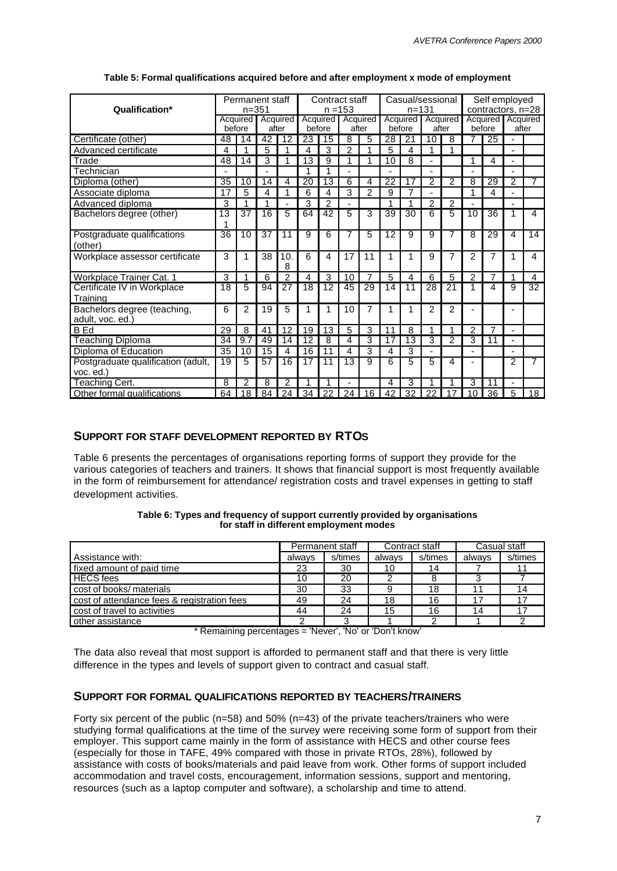| Qualification*                                  |                 | Permanent staff<br>$n = 351$ |                 |                 |                 | Contract staff  | $n = 153$      |                   |                 | Casual/sessional<br>$n = 131$ |                |                | Self employed<br>contractors, n=28 |                   |                |    |
|-------------------------------------------------|-----------------|------------------------------|-----------------|-----------------|-----------------|-----------------|----------------|-------------------|-----------------|-------------------------------|----------------|----------------|------------------------------------|-------------------|----------------|----|
|                                                 |                 | Acquired                     |                 | Acquired        |                 |                 |                | Acquired Acquired |                 | Acquired                      |                | Acquired       |                                    | Acquired Acquired |                |    |
|                                                 |                 | before                       | after           |                 |                 | before          |                | after             |                 | before                        |                | after          |                                    | before            | after          |    |
| Certificate (other)                             | 48              | 14                           | $\overline{42}$ | $\overline{12}$ | 23              | 15              | 8              | 5                 | 28              | 21                            | 10             | 8              | 7                                  | 25                |                |    |
| Advanced certificate                            | 4               | 1                            | 5               | 1               | 4               | 3               | 2              | 1                 | 5               | 4                             |                | 1              |                                    |                   |                |    |
| Trade                                           | 48              | 14                           | 3               | 1               | 13              | 9               | 1              | 1                 | 10              | 8                             |                |                | 1                                  | 4                 |                |    |
| Technician                                      | $\blacksquare$  |                              | $\blacksquare$  |                 | 1               | 1               | ٠              |                   | ٠               |                               | -              |                |                                    |                   |                |    |
| Diploma (other)                                 | $\overline{35}$ | 10                           | 14              | 4               | $\overline{20}$ | $\overline{13}$ | 6              | 4                 | $\overline{22}$ | 17                            | 2              | $\overline{2}$ | 8                                  | $\overline{29}$   | 2              | 7  |
| Associate diploma                               | 17              | 5                            | 4               | 1               | 6               | 4               | 3              | $\mathfrak{p}$    | 9               | $\overline{7}$                |                |                |                                    | 4                 |                |    |
| Advanced diploma                                | 3               | 1                            | 1               |                 | 3               | $\overline{2}$  | $\overline{a}$ |                   | 1               | 1                             | $\overline{c}$ | $\overline{2}$ |                                    |                   |                |    |
| Bachelors degree (other)                        | $\overline{13}$ | $\overline{37}$              | $\overline{16}$ | 5               | 64              | 42              | 5              | 3                 | $\overline{39}$ | $\overline{30}$               | 6              | 5              | 10                                 | $\overline{36}$   | 1              | 4  |
|                                                 | 1               |                              |                 |                 |                 |                 |                |                   |                 |                               |                |                |                                    |                   |                |    |
| Postgraduate qualifications<br>(other)          | 36              | 10                           | 37              | 11              | 9               | 6               | 7              | 5                 | 12              | 9                             | 9              | 7              | 8                                  | 29                | $\overline{4}$ | 14 |
| Workplace assessor certificate                  | 3               | 1                            | 38              | 10.<br>8        | 6               | 4               | 17             | 11                | 1               | 1                             | 9              | 7              | 2                                  | 7                 | 1              | 4  |
| <b>Workplace Trainer Cat. 1</b>                 | 3               | 1                            | 6               | $\overline{2}$  | 4               | 3               | 10             | $\overline{7}$    | 5               | 4                             | 6              | 5              | $\overline{2}$                     | $\overline{7}$    | 1              | 4  |
| Certificate IV in Workplace                     | 18              | 5                            | 94              | 27              | 18              | 12              | 45             | 29                | 14              | 11                            | 28             | 21             |                                    | 4                 | 9              | 32 |
| Training                                        |                 |                              |                 |                 |                 |                 |                |                   |                 |                               |                |                |                                    |                   |                |    |
| Bachelors degree (teaching,<br>adult. voc. ed.) | 6               | 2                            | 19              | 5               | 1               | 1               | 10             | 7                 | 1               | 1                             | $\overline{2}$ | $\overline{2}$ |                                    |                   |                |    |
| <b>B</b> Ed                                     | 29              | 8                            | 41              | 12              | 19              | 13              | 5              | 3                 | 11              | 8                             | 4              | 1              | $\overline{2}$                     | $\overline{7}$    |                |    |
| Teaching Diploma                                | 34              | 9.7                          | 49              | 14              | 12              | 8               | 4              | 3                 | 17              | 13                            | 3              | $\overline{c}$ | 3                                  | 11                |                |    |
| Diploma of Education                            | 35              | 10                           | 15              | $\overline{4}$  | 16              | 11              | 4              | 3                 | 4               | 3                             |                |                |                                    |                   |                |    |
| Postgraduate qualification (adult,              | 19              | 5                            | 57              | 16              | 17              | 11              | 13             | 9                 | 6               | 5                             | 5              | 4              |                                    |                   | 2              | 7  |
| voc. ed.)                                       |                 |                              |                 |                 |                 |                 |                |                   |                 |                               |                |                |                                    |                   |                |    |
| Teaching Cert.                                  | 8               | 2                            | 8               | $\overline{2}$  | 1               | 1               | ÷,             |                   | 4               | 3                             |                | 1              | 3                                  | 11                |                |    |
| Other formal qualifications                     | 64              | 18                           | 84              | 24              | 34              | 22              | 24             | 16                | 42              | 32                            | 22             | 17             | 10                                 | 36                | 5              | 18 |

#### **Table 5: Formal qualifications acquired before and after employment x mode of employment**

# **SUPPORT FOR STAFF DEVELOPMENT REPORTED BY RTOS**

Table 6 presents the percentages of organisations reporting forms of support they provide for the various categories of teachers and trainers. It shows that financial support is most frequently available in the form of reimbursement for attendance/ registration costs and travel expenses in getting to staff development activities.

| Table 6: Types and frequency of support currently provided by organisations |
|-----------------------------------------------------------------------------|
| for staff in different employment modes                                     |

|                                                   | Permanent staff |          |          | Contract staff | Casual staff |         |  |
|---------------------------------------------------|-----------------|----------|----------|----------------|--------------|---------|--|
| Assistance with:                                  | alwavs          | s/times  | alwavs   | s/times        | alwavs       | s/times |  |
| fixed amount of paid time                         | 23              | 30       | 10       | 14             |              |         |  |
| <b>HECS</b> fees                                  | 10              | 20       |          |                |              |         |  |
| cost of books/ materials                          | 30              | 33       |          | 18             |              |         |  |
| cost of attendance fees & registration fees       | 49              | 24       | 18       | 16             | 17           |         |  |
| cost of travel to activities                      | 44              | 24       | 15       | 16             | 14           |         |  |
| other assistance<br>$\mathbf{r}$ and $\mathbf{r}$ | $\cdots$        | $\cdots$ | $\cdots$ |                |              |         |  |

\* Remaining percentages = 'Never', 'No' or 'Don't know'

The data also reveal that most support is afforded to permanent staff and that there is very little difference in the types and levels of support given to contract and casual staff.

### **SUPPORT FOR FORMAL QUALIFICATIONS REPORTED BY TEACHERS/TRAINERS**

Forty six percent of the public (n=58) and 50% (n=43) of the private teachers/trainers who were studying formal qualifications at the time of the survey were receiving some form of support from their employer. This support came mainly in the form of assistance with HECS and other course fees (especially for those in TAFE, 49% compared with those in private RTOs, 28%), followed by assistance with costs of books/materials and paid leave from work. Other forms of support included accommodation and travel costs, encouragement, information sessions, support and mentoring, resources (such as a laptop computer and software), a scholarship and time to attend.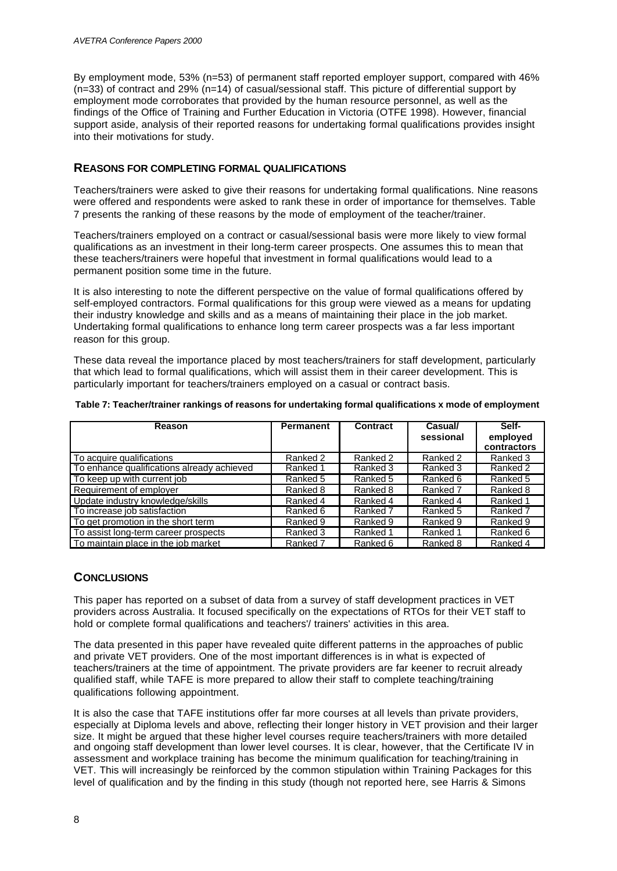By employment mode, 53% (n=53) of permanent staff reported employer support, compared with 46% (n=33) of contract and 29% (n=14) of casual/sessional staff. This picture of differential support by employment mode corroborates that provided by the human resource personnel, as well as the findings of the Office of Training and Further Education in Victoria (OTFE 1998). However, financial support aside, analysis of their reported reasons for undertaking formal qualifications provides insight into their motivations for study.

## **REASONS FOR COMPLETING FORMAL QUALIFICATIONS**

Teachers/trainers were asked to give their reasons for undertaking formal qualifications. Nine reasons were offered and respondents were asked to rank these in order of importance for themselves. Table 7 presents the ranking of these reasons by the mode of employment of the teacher/trainer.

Teachers/trainers employed on a contract or casual/sessional basis were more likely to view formal qualifications as an investment in their long-term career prospects. One assumes this to mean that these teachers/trainers were hopeful that investment in formal qualifications would lead to a permanent position some time in the future.

It is also interesting to note the different perspective on the value of formal qualifications offered by self-employed contractors. Formal qualifications for this group were viewed as a means for updating their industry knowledge and skills and as a means of maintaining their place in the job market. Undertaking formal qualifications to enhance long term career prospects was a far less important reason for this group.

These data reveal the importance placed by most teachers/trainers for staff development, particularly that which lead to formal qualifications, which will assist them in their career development. This is particularly important for teachers/trainers employed on a casual or contract basis.

| Reason                                     | <b>Permanent</b> | Contract | Casual/   | Self-       |
|--------------------------------------------|------------------|----------|-----------|-------------|
|                                            |                  |          | sessional | employed    |
|                                            |                  |          |           | contractors |
| To acquire qualifications                  | Ranked 2         | Ranked 2 | Ranked 2  | Ranked 3    |
| To enhance qualifications already achieved | Ranked 1         | Ranked 3 | Ranked 3  | Ranked 2    |
| To keep up with current job                | Ranked 5         | Ranked 5 | Ranked 6  | Ranked 5    |
| Requirement of employer                    | Ranked 8         | Ranked 8 | Ranked 7  | Ranked 8    |
| Update industry knowledge/skills           | Ranked 4         | Ranked 4 | Ranked 4  | Ranked 1    |
| To increase job satisfaction               | Ranked 6         | Ranked 7 | Ranked 5  | Ranked 7    |
| To get promotion in the short term         | Ranked 9         | Ranked 9 | Ranked 9  | Ranked 9    |
| To assist long-term career prospects       | Ranked 3         | Ranked 1 | Ranked 1  | Ranked 6    |
| <b>To maintain place in the iob market</b> | Ranked 7         | Ranked 6 | Ranked 8  | Ranked 4    |

|  | Table 7: Teacher/trainer rankings of reasons for undertaking formal qualifications x mode of employment |  |  |  |
|--|---------------------------------------------------------------------------------------------------------|--|--|--|
|--|---------------------------------------------------------------------------------------------------------|--|--|--|

# **CONCLUSIONS**

This paper has reported on a subset of data from a survey of staff development practices in VET providers across Australia. It focused specifically on the expectations of RTOs for their VET staff to hold or complete formal qualifications and teachers'/ trainers' activities in this area.

The data presented in this paper have revealed quite different patterns in the approaches of public and private VET providers. One of the most important differences is in what is expected of teachers/trainers at the time of appointment. The private providers are far keener to recruit already qualified staff, while TAFE is more prepared to allow their staff to complete teaching/training qualifications following appointment.

It is also the case that TAFE institutions offer far more courses at all levels than private providers, especially at Diploma levels and above, reflecting their longer history in VET provision and their larger size. It might be argued that these higher level courses require teachers/trainers with more detailed and ongoing staff development than lower level courses. It is clear, however, that the Certificate IV in assessment and workplace training has become the minimum qualification for teaching/training in VET. This will increasingly be reinforced by the common stipulation within Training Packages for this level of qualification and by the finding in this study (though not reported here, see Harris & Simons